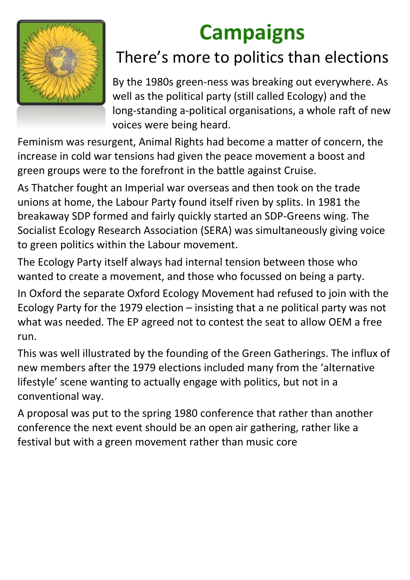

## **Campaigns**

## There's more to politics than elections

By the 1980s green-ness was breaking out everywhere. As well as the political party (still called Ecology) and the long-standing a-political organisations, a whole raft of new voices were being heard.

Feminism was resurgent, Animal Rights had become a matter of concern, the increase in cold war tensions had given the peace movement a boost and green groups were to the forefront in the battle against Cruise.

As Thatcher fought an Imperial war overseas and then took on the trade unions at home, the Labour Party found itself riven by splits. In 1981 the breakaway SDP formed and fairly quickly started an SDP-Greens wing. The Socialist Ecology Research Association (SERA) was simultaneously giving voice to green politics within the Labour movement.

The Ecology Party itself always had internal tension between those who wanted to create a movement, and those who focussed on being a party.

In Oxford the separate Oxford Ecology Movement had refused to join with the Ecology Party for the 1979 election – insisting that a ne political party was not what was needed. The EP agreed not to contest the seat to allow OEM a free run.

This was well illustrated by the founding of the Green Gatherings. The influx of new members after the 1979 elections included many from the 'alternative lifestyle' scene wanting to actually engage with politics, but not in a conventional way.

A proposal was put to the spring 1980 conference that rather than another conference the next event should be an open air gathering, rather like a

#### festival but with a green movement rather than music core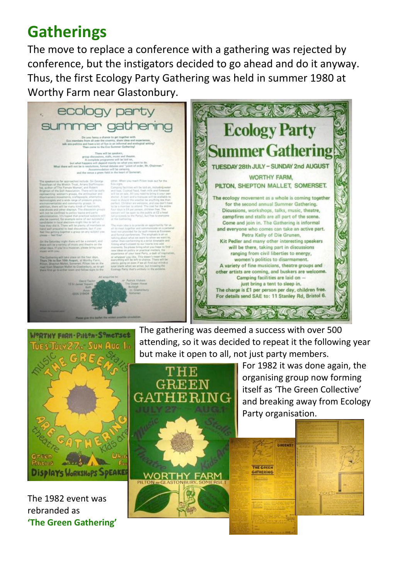## **Gatherings**

The move to replace a conference with a gathering was rejected by conference, but the instigators decided to go ahead and do it anyway. Thus, the first Ecology Party Gathering was held in summer 1980 at Worthy Farm near Glastonbury.







For 1982 it was done again, the organising group now forming itself as 'The Green Collective' and breaking away from Ecology Party organisation.

The 1982 event was rebranded as **'The Green Gathering'**



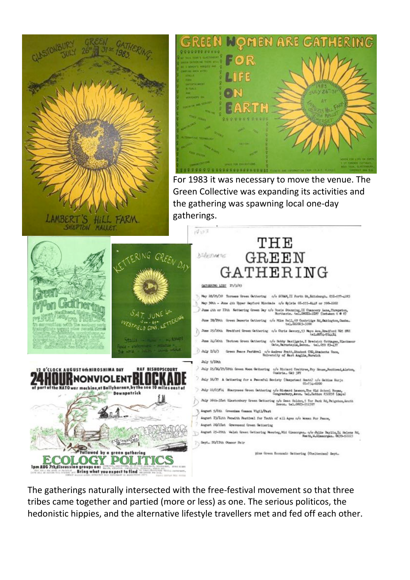



For 1983 it was necessary to move the venue. The Green Collective was expanding its activities and the gathering was spawning local one-day gatherings.

THE







#### **GREEN** GATHERING GATURRING LIST IT/3/83 May 28/29/30 Torness Green Gathering o/o SCNAM, II Forth St., Edisburgh. 031-597-4283 May 30th - June 4th Upper Heyford Micclade c/o Sylvia 01-555-6448 or 590-2262 June 4th or IIth Nettering Green Day a/o Rosie Stanning, II Chancery Lane, Thrapeton (between 5 @ 8)  $tan 600$ June IS/I9th Green Deserts Gathering o/o Mike Bell, 69 Canbridge Sd, Oakington, Cashe. tel.022021-120 June 25/26th Bradford Green Gathering o/o Chris Savory, 53 Mayo Ave, Bradford RDS June 24/26th Tectors Green Gathering c/o Bobby Basilgate, I Breckick Cottages, Black üreen Feace Festéval $\alpha/\alpha$  Andrew Pratt, Student CSD, Students Roce, Entrevelty of Rest Anglia, Norwich  $2$  and  $x$   $x/a/3$ July 9/10th  $\geq$  July 15/16/27/18th Green Moon Gathering  $\,$  e/o Richard Crabtree, Pry House, Mentheed, List Custria, GA9 3FT July 16/77 A Gathering for a Peaceful Society (Harpstead Heath) c/o Baltine Euric 01-734-0200  $\lambda$  July 22/23/24 Sharpness Green Gathering c/o Richard Lawson, The G2d School Rooms, toll Sharpness Gongresbury, Awon. tel. Nation 832338 (days)  $\text{Adj}\,$  26th-37st Glastenbury Green Gathering  $\alpha/\alpha$  Bean Holden, 5 For Fark Rd, Faigston, South Bevon. tel. 0803-552397 August 5/6th Greenlass Common Vigil/Fast August T3/Ith Penwith Pestival for Youth of all Ages o/o Women For Peace, August 20/2Ist Gravesend Green Gathering August 25-29th Welsh Green Gathering Maceteg, Mid Gianorgan. o/o Julie Baylis, Li Halams Rd,



Seyt. IQ/IIth Obsecr Fair

Neath, M.Glaso

plus Green Economic Gathering (Cheltenham) Sept.

The gatherings naturally intersected with the free-festival movement so that three tribes came together and partied (more or less) as one. The serious politicos, the hedonistic hippies, and the alternative lifestyle travellers met and fed off each other.

 $14.03$ 

*DEAEOMATE*